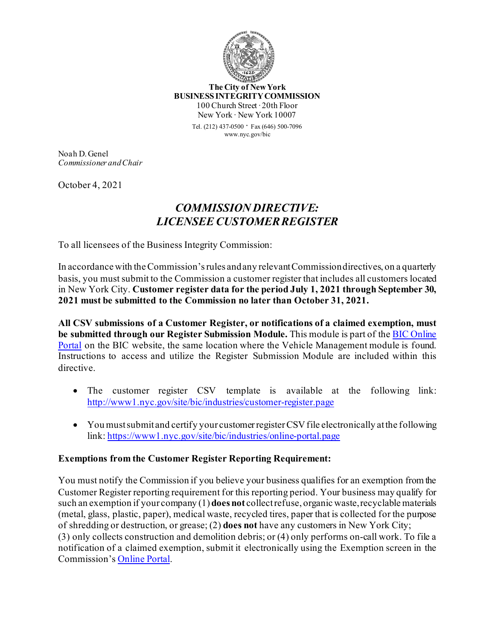

**The City of New York BUSINESS INTEGRITY COMMISSION** 100 Church Street ∙ 20th Floor New York ∙ New York 10007

> Tel. (212) 437-0500 ∙ Fax (646) 500-<sup>7096</sup> www.nyc.gov/bic

Noah D. Genel *Commissioner and Chair*

October 4, 2021

## *COMMISSION DIRECTIVE: LICENSEE CUSTOMER REGISTER*

To all licensees of the Business Integrity Commission:

In accordance with the Commission's rules and any relevant Commission directives, on a quarterly basis, you must submit to the Commission a customer register that includes all customers located in New York City. **Customer register data for the period July 1, 2021 through September 30, 2021 must be submitted to the Commission no later than October 31, 2021.**

**All CSV submissions of a Customer Register, or notifications of a claimed exemption, must be submitted through our Register Submission Module.** This module is part of th[e BIC Online](https://www1.nyc.gov/site/bic/industries/online-portal.page)  [Portal](https://www1.nyc.gov/site/bic/industries/online-portal.page) on the BIC website, the same location where the Vehicle Management module is found. Instructions to access and utilize the Register Submission Module are included within this directive.

- The customer register CSV template is available at the following link: [http://www1.nyc.gov/site/bic/industries/customer](http://www1.nyc.gov/site/bic/industries/customer-register.page)-register.page
- You must submit and certify your customer register CSV file electronically at the following link: [https://www1.nyc.gov/site/bic/industries/online](https://www1.nyc.gov/site/bic/industries/online-portal.page)-portal.page

## **Exemptions from the Customer Register Reporting Requirement:**

You must notify the Commission if you believe your business qualifies for an exemption from the Customer Register reporting requirement for this reporting period. Your business may qualify for such an exemption if your company (1) **does not** collect refuse, organic waste, recyclable materials (metal, glass, plastic, paper), medical waste, recycled tires, paper that is collected for the purpose of shredding or destruction, or grease; (2) **does not** have any customers in New York City; (3) only collects construction and demolition debris; or (4) only performs on-call work. To file a notification of a claimed exemption, submit it electronically using the Exemption screen in the Commission'[s Online Portal.](https://www1.nyc.gov/site/bic/industries/online-portal.page)